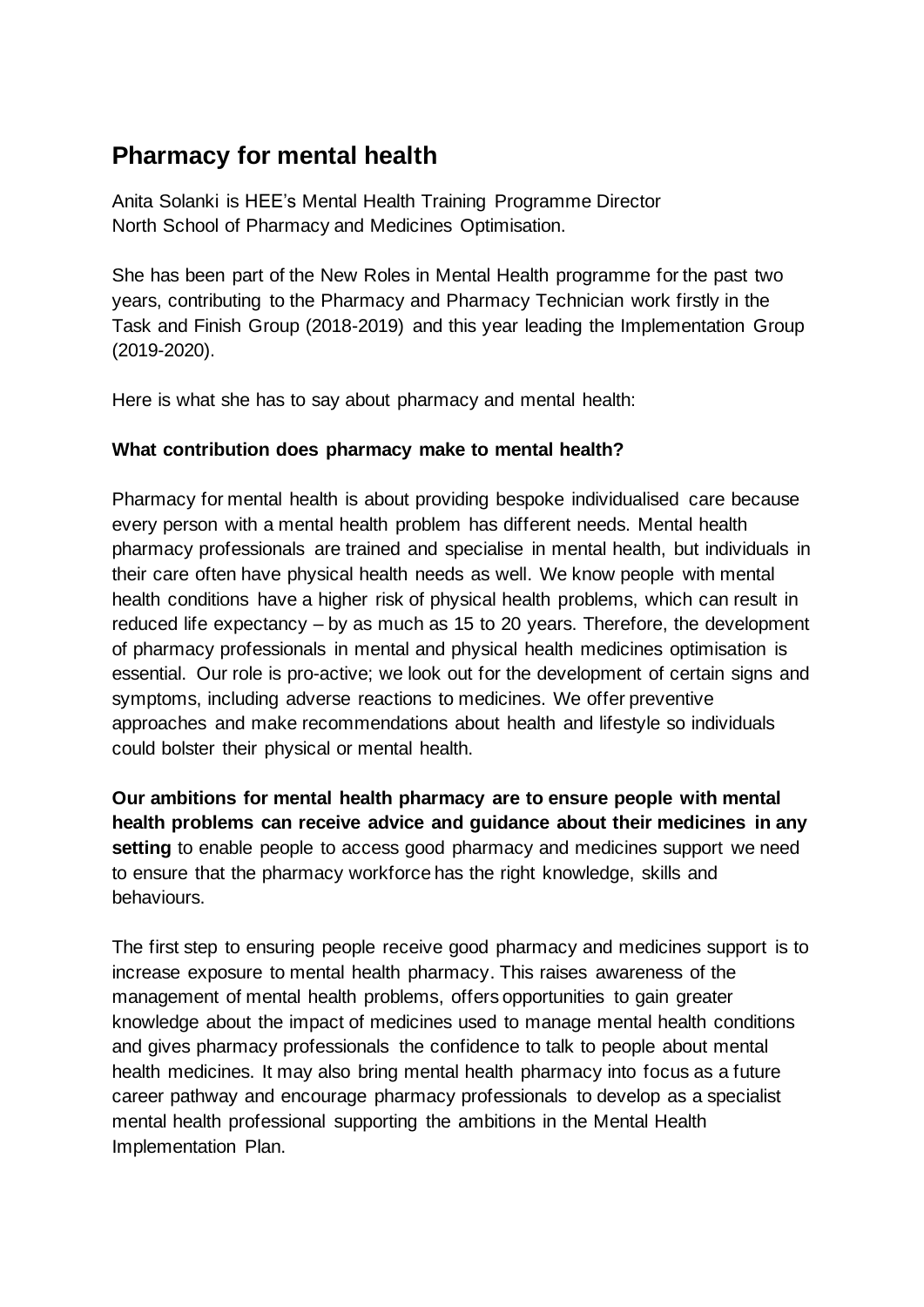# **Pharmacy for mental health**

Anita Solanki is HEE's Mental Health Training Programme Director North School of Pharmacy and Medicines Optimisation.

She has been part of the New Roles in Mental Health programme for the past two years, contributing to the Pharmacy and Pharmacy Technician work firstly in the Task and Finish Group (2018-2019) and this year leading the Implementation Group (2019-2020).

Here is what she has to say about pharmacy and mental health:

## **What contribution does pharmacy make to mental health?**

Pharmacy for mental health is about providing bespoke individualised care because every person with a mental health problem has different needs. Mental health pharmacy professionals are trained and specialise in mental health, but individuals in their care often have physical health needs as well. We know people with mental health conditions have a higher risk of physical health problems, which can result in reduced life expectancy – by as much as 15 to 20 years. Therefore, the development of pharmacy professionals in mental and physical health medicines optimisation is essential. Our role is pro-active; we look out for the development of certain signs and symptoms, including adverse reactions to medicines. We offer preventive approaches and make recommendations about health and lifestyle so individuals could bolster their physical or mental health.

**Our ambitions for mental health pharmacy are to ensure people with mental health problems can receive advice and guidance about their medicines in any setting** to enable people to access good pharmacy and medicines support we need to ensure that the pharmacy workforce has the right knowledge, skills and behaviours.

The first step to ensuring people receive good pharmacy and medicines support is to increase exposure to mental health pharmacy. This raises awareness of the management of mental health problems, offers opportunities to gain greater knowledge about the impact of medicines used to manage mental health conditions and gives pharmacy professionals the confidence to talk to people about mental health medicines. It may also bring mental health pharmacy into focus as a future career pathway and encourage pharmacy professionals to develop as a specialist mental health professional supporting the ambitions in the Mental Health Implementation Plan.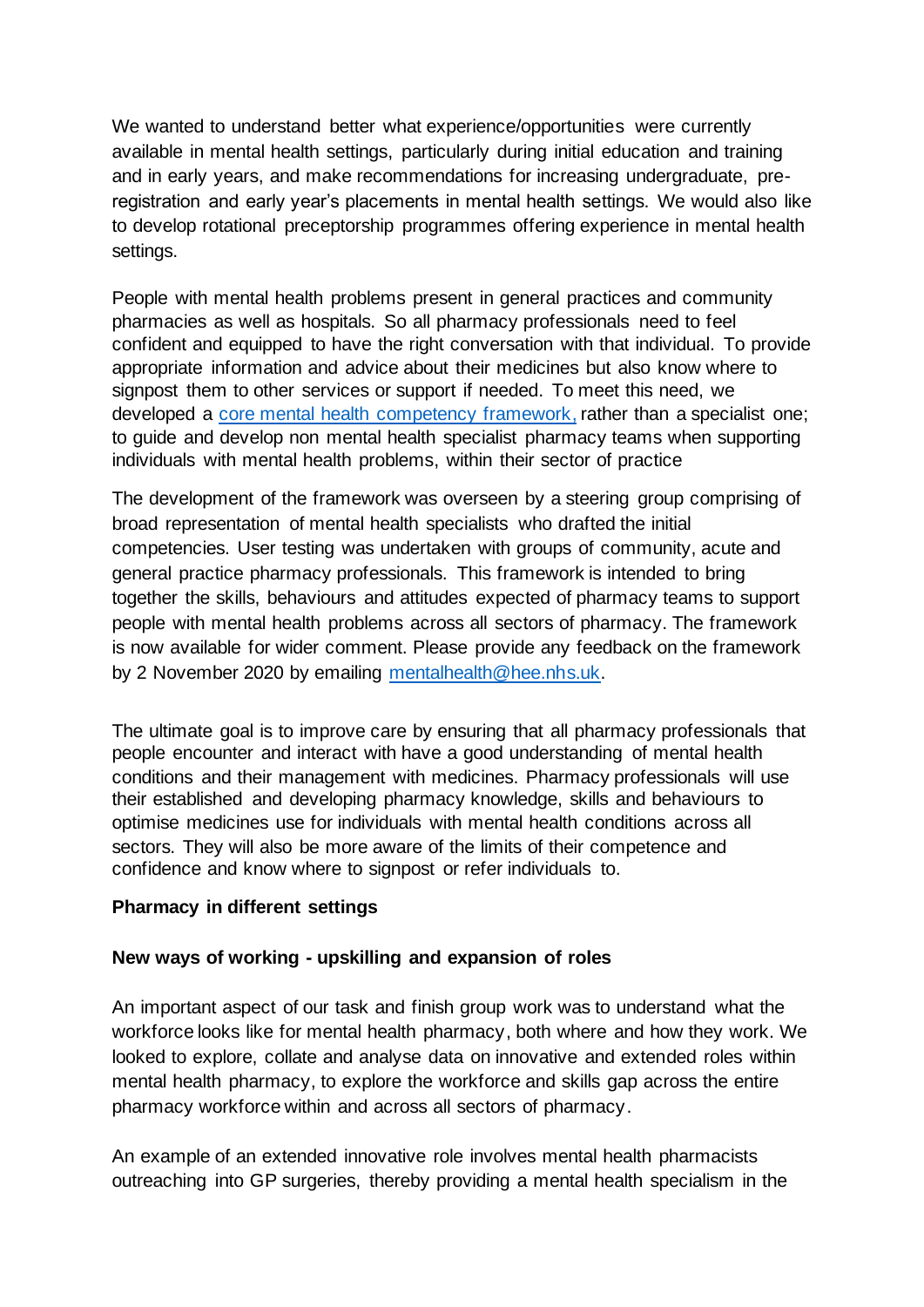We wanted to understand better what experience/opportunities were currently available in mental health settings, particularly during initial education and training and in early years, and make recommendations for increasing undergraduate, preregistration and early year's placements in mental health settings. We would also like to develop rotational preceptorship programmes offering experience in mental health settings.

People with mental health problems present in general practices and community pharmacies as well as hospitals. So all pharmacy professionals need to feel confident and equipped to have the right conversation with that individual. To provide appropriate information and advice about their medicines but also know where to signpost them to other services or support if needed. To meet this need, we developed a [core mental health competency framework,](https://www.hee.nhs.uk/sites/default/files/documents/Pharmacy%20Framework%202020.pdf) rather than a specialist one; to guide and develop non mental health specialist pharmacy teams when supporting individuals with mental health problems, within their sector of practice

The development of the framework was overseen by a steering group comprising of broad representation of mental health specialists who drafted the initial competencies. User testing was undertaken with groups of community, acute and general practice pharmacy professionals. This framework is intended to bring together the skills, behaviours and attitudes expected of pharmacy teams to support people with mental health problems across all sectors of pharmacy. The framework is now available for wider comment. Please provide any feedback on the framework by 2 November 2020 by emailing [mentalhealth@hee.nhs.uk.](mailto:mentalhealth@hee.nhs.uk)

The ultimate goal is to improve care by ensuring that all pharmacy professionals that people encounter and interact with have a good understanding of mental health conditions and their management with medicines. Pharmacy professionals will use their established and developing pharmacy knowledge, skills and behaviours to optimise medicines use for individuals with mental health conditions across all sectors. They will also be more aware of the limits of their competence and confidence and know where to signpost or refer individuals to.

#### **Pharmacy in different settings**

#### **New ways of working - upskilling and expansion of roles**

An important aspect of our task and finish group work was to understand what the workforce looks like for mental health pharmacy, both where and how they work. We looked to explore, collate and analyse data on innovative and extended roles within mental health pharmacy, to explore the workforce and skills gap across the entire pharmacy workforce within and across all sectors of pharmacy.

An example of an extended innovative role involves mental health pharmacists outreaching into GP surgeries, thereby providing a mental health specialism in the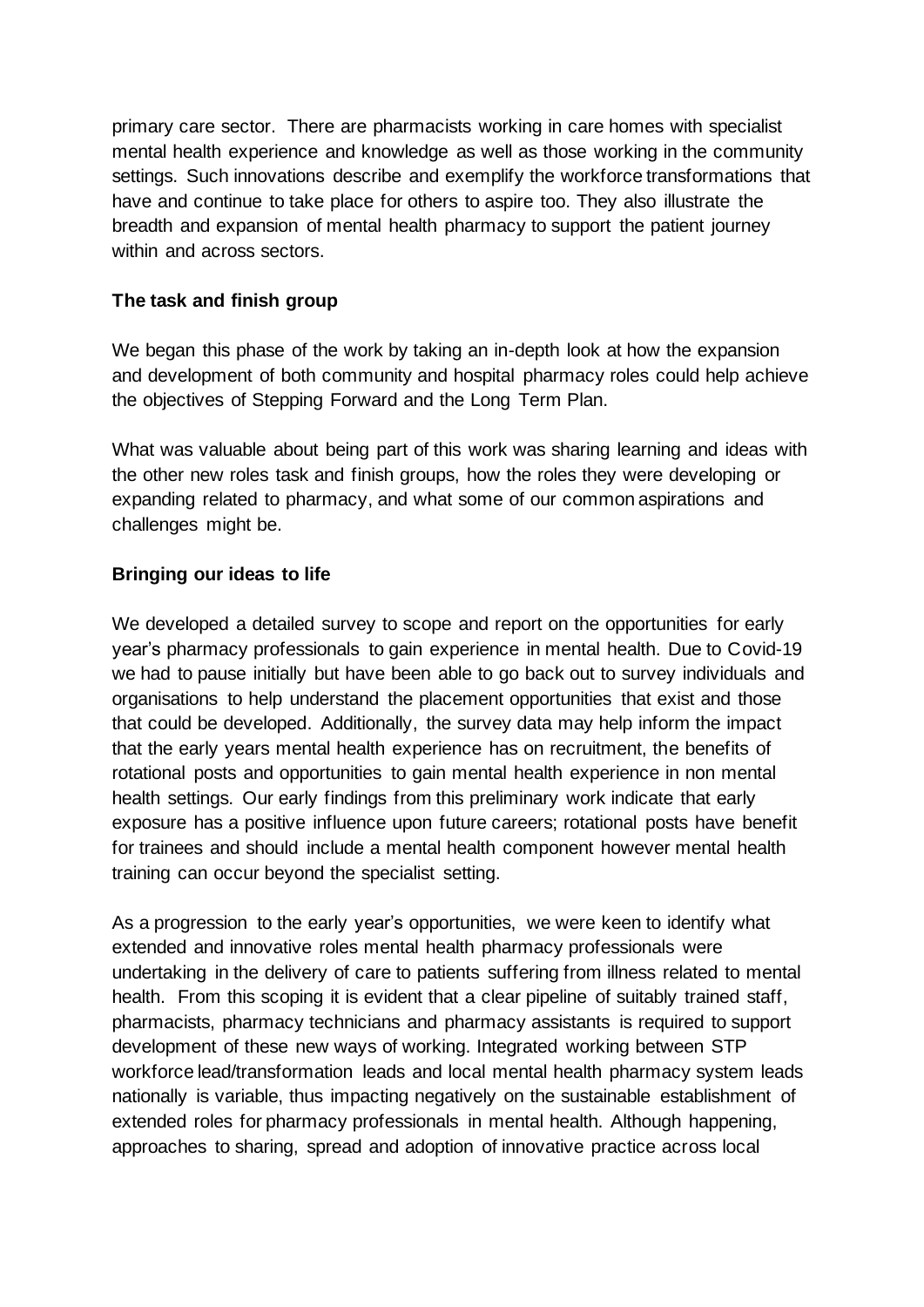primary care sector. There are pharmacists working in care homes with specialist mental health experience and knowledge as well as those working in the community settings. Such innovations describe and exemplify the workforce transformations that have and continue to take place for others to aspire too. They also illustrate the breadth and expansion of mental health pharmacy to support the patient journey within and across sectors.

## **The task and finish group**

We began this phase of the work by taking an in-depth look at how the expansion and development of both community and hospital pharmacy roles could help achieve the objectives of Stepping Forward and the Long Term Plan.

What was valuable about being part of this work was sharing learning and ideas with the other new roles task and finish groups, how the roles they were developing or expanding related to pharmacy, and what some of our common aspirations and challenges might be.

### **Bringing our ideas to life**

We developed a detailed survey to scope and report on the opportunities for early year's pharmacy professionals to gain experience in mental health. Due to Covid-19 we had to pause initially but have been able to go back out to survey individuals and organisations to help understand the placement opportunities that exist and those that could be developed. Additionally, the survey data may help inform the impact that the early years mental health experience has on recruitment, the benefits of rotational posts and opportunities to gain mental health experience in non mental health settings. Our early findings from this preliminary work indicate that early exposure has a positive influence upon future careers; rotational posts have benefit for trainees and should include a mental health component however mental health training can occur beyond the specialist setting.

As a progression to the early year's opportunities, we were keen to identify what extended and innovative roles mental health pharmacy professionals were undertaking in the delivery of care to patients suffering from illness related to mental health. From this scoping it is evident that a clear pipeline of suitably trained staff, pharmacists, pharmacy technicians and pharmacy assistants is required to support development of these new ways of working. Integrated working between STP workforce lead/transformation leads and local mental health pharmacy system leads nationally is variable, thus impacting negatively on the sustainable establishment of extended roles for pharmacy professionals in mental health. Although happening, approaches to sharing, spread and adoption of innovative practice across local